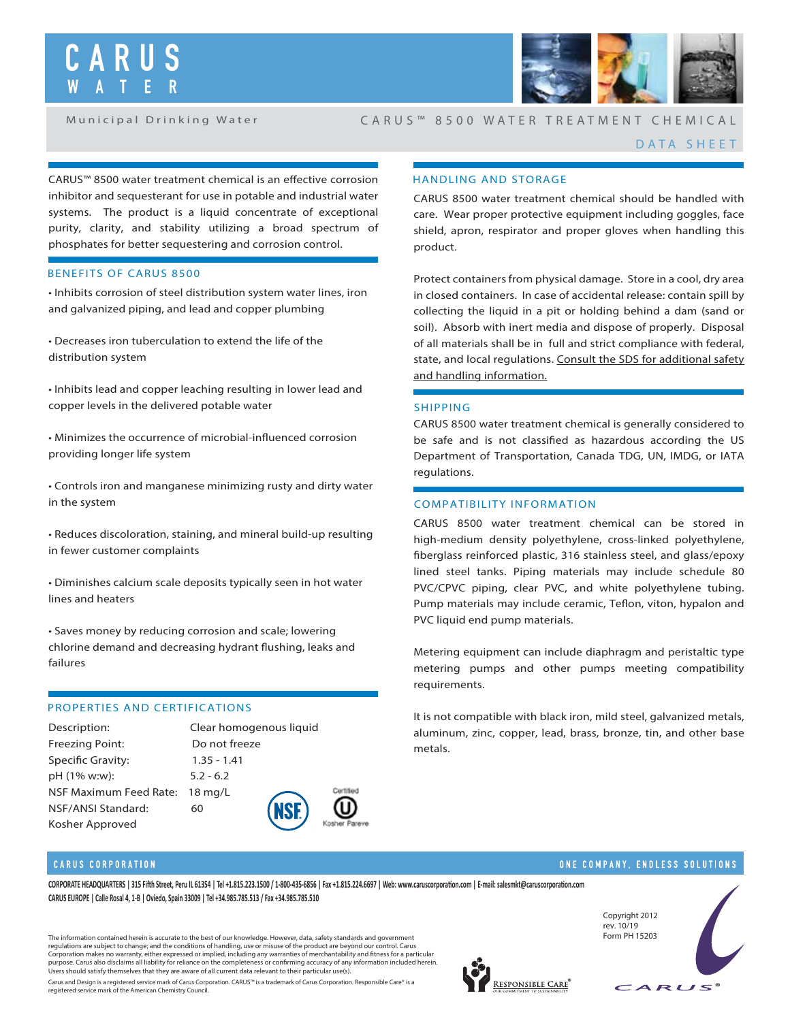

Municipal Drinking Water

# CARUS ™ 8500 WATER TREATMENT CHEMICAL

## DATA SHEET

CARUS™ 8500 water treatment chemical is an effective corrosion inhibitor and sequesterant for use in potable and industrial water systems. The product is a liquid concentrate of exceptional purity, clarity, and stability utilizing a broad spectrum of phosphates for better sequestering and corrosion control.

## **BENEFITS OF CARUS 8500**

**• Inhibits corrosion of steel distribution system water lines, iron and galvanized piping, and lead and copper plumbing**

**• Decreases iron tuberculation to extend the life of the distribution system**

**• Inhibits lead and copper leaching resulting in lower lead and copper levels in the delivered potable water**

 $\cdot$  Minimizes the occurrence of microbial-influenced corrosion **providing longer life system**

**• Controls iron and manganese minimizing rusty and dirty water in the system**

**• Reduces discoloration, staining, and mineral build-up resulting in fewer customer complaints**

**• Diminishes calcium scale deposits typically seen in hot water lines and heaters**

**• Saves money by reducing corrosion and scale; lowering**  chlorine demand and decreasing hydrant flushing, leaks and **failures**

## **PROPERTIES AND CERTIFICATIONS**

**Description**: Clear homogenous liquid **Freezing Point:** Do not freeze **Specic Gravity:** 1.35 - 1.41 **pH (1% w:w):** 5.2 - 6.2 **NSF Maximum Feed Rate:** 18 mg/L **NSF/ANSI Standard:** 60 **Kosher Approved**



# **HANDLING AND STORAGE**

CARUS 8500 water treatment chemical should be handled with care. Wear proper protective equipment including goggles, face shield, apron, respirator and proper gloves when handling this product.

Protect containers from physical damage. Store in a cool, dry area in closed containers. In case of accidental release: contain spill by collecting the liquid in a pit or holding behind a dam (sand or soil). Absorb with inert media and dispose of properly. Disposal of all materials shall be in full and strict compliance with federal, state, and local regulations. Consult the SDS for additional safety and handling information.

## **SHIPPING**

CARUS 8500 water treatment chemical is generally considered to be safe and is not classified as hazardous according the US Department of Transportation, Canada TDG, UN, IMDG, or IATA regulations.

## **COMPATIBILITY INFORMATION**

CARUS 8500 water treatment chemical can be stored in high-medium density polyethylene, cross-linked polyethylene, berglass reinforced plastic, 316 stainless steel, and glass/epoxy lined steel tanks. Piping materials may include schedule 80 PVC/CPVC piping, clear PVC, and white polyethylene tubing. Pump materials may include ceramic, Teflon, viton, hypalon and PVC liquid end pump materials.

Metering equipment can include diaphragm and peristaltic type metering pumps and other pumps meeting compatibility requirements.

It is not compatible with black iron, mild steel, galvanized metals, aluminum, zinc, copper, lead, brass, bronze, tin, and other base metals.

## **CARUS CORPORATION**

CORPORATE HEADQUARTERS | 315 Fifth Street, Peru IL 61354 | Tel +1.815.223.1500 / 1-800-435-6856 | Fax +1.815.224.6697 | Web: www.caruscorporation.com | E-mail: salesmkt@caruscorporation.com **CARUS EUROPE | Calle Rosal 4, 1-B | Oviedo, Spain 33009 | Tel +34.985.785.513 / Fax +34.985.785.510**

The information contained herein is accurate to the best of our knowledge. However, data, safety standards and government<br>regulations are subject to change; and the conditions of handling, use or misuse of the product are Corporation makes no warranty, either expressed or implied, including any warranties of merchantability and fitness for a particular purpose. Carus also disclaims all liability for reliance on the completeness or confirming accuracy of any information included herein. Users should satisfy themselves that they are aware of all current data relevant to their particular use(s). Carus and Design is a registered service mark of Carus Corporation. CARUS™ is a trademark of Carus Corporation. Responsible Care® is a registered service mark of the American Chemistry Council.





ONE COMPANY, ENDLESS SOLUTIONS